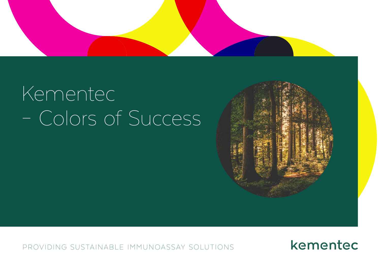

# Kementec – Colors of Success



PROVIDING SUSTAINABLE IMMUNOASSAY SOLUTIONS

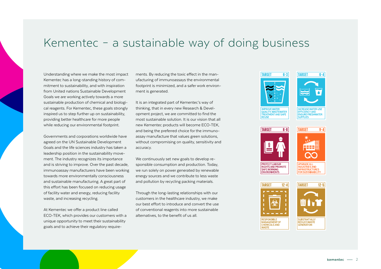### Kementec – a sustainable way of doing business

Understanding where we make the most impact Kementec has a long-standing history of commitment to sustainability, and with inspiration from United nations Sustainable Development Goals we are working actively towards a more sustainable production of chemical and biological reagents. For Kementec, these goals strongly inspired us to step further up on sustainability, providing better healthcare for more people while reducing our environmental footprint.

Governments and corporations worldwide have agreed on the UN Sustainable Development Goals and the life sciences industry has taken a leadership position in the sustainability movement. The industry recognizes its importance and is striving to improve. Over the past decade, immunoassay manufacturers have been working towards more environmentally consciousness and sustainable manufacturing. A great part of this effort has been focused on reducing usage of facility water and energy, reducing facility waste, and increasing recycling.

At Kementec we offer a product line called ECO-TEK, which provides our customers with a unique opportunity to meet their sustainability goals and to achieve their regulatory requirements. By reducing the toxic effect in the manufacturing of immunoassays the environmental footprint is minimized, and a safer work environment is generated.

It is an integrated part of Kementec's way of thinking, that in every new Research & Development project, we are committed to find the most sustainable solution. It is our vision that all new Kementec products will become ECO-TEK, and being the preferred choice for the immunoassay manufacture that values green solutions, without compromising on quality, sensitivity and accuracy.

We continuously set new goals to develop responsible consumption and production. Today, we run solely on power generated by renewable energy sources and we contribute to less waste and pollution by recycling packing materials.

Through the long-lasting relationships with our customers in the healthcare industry, we make our best effort to introduce and convert the use of conventional reagents into more sustainable alternatives, to the benefit of us all.





**INCREASE WATER-LISE EFFICIENCY AND ENSURE FRESHWATER SUPPLIES** 



**ENVIRONMENTS** 





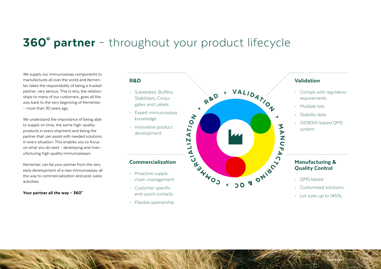### 360° partner – throughout your product lifecycle

We supply our immunoassay components to manufactures all over the world and Kementec takes the responsibility of being a trusted partner, very serious. This is why, the relationships to many of our customers, goes all the way back to the very beginning of Kementec – more than 30 years ago.

We understand the importance of being able to supply on time, the same high-quality products in every shipment and being the partner that can assist with needed solutions in every situation. This enables you to focus on what you do best – developing and manufacturing high quality immunoassays.

Kementec can be your partner from the very early development of a new immunoassay all the way to commercialization and post-sales activities.

Your partner all the way - 360°

### R&D

- Substrates, Buffers, Stabilizers, Conjugates and Labels
- Expert immunoassay knowledge
- Innovative product development

- Proactive supply chain management
- Customer specific end-point contacts
- Flexible partnership



### Manufacturing &

- Customized solutions
- Lot sizes up to 1450L

3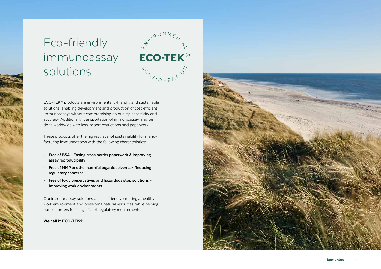### Eco-friendly immunoassay solutions



ECO-TEK® products are environmentally-friendly and sustainable solutions, enabling development and production of cost efficient immunoassays without compromising on quality, sensitivity and accuracy. Additionally, transportation of immunoassay may be done worldwide with less import restrictions and paperwork.

These products offer the highest level of sustainability for manu facturing immunoassays with the following characteristics:

- **• Free of BSA Easing cross border paperwork & improving assay reproducibility**
- **• Free of NMP or other harmful organic solvents Reducing regulatory concerns**
- **• Free of toxic preservatives and hazardous stop solutions Improving work environments**

Our immunoassay solutions are eco-friendly, creating a healthy work environment and preserving natural resources, while helping our customers fulfill significant regulatory requirements.

### We call it ECO-TEK®

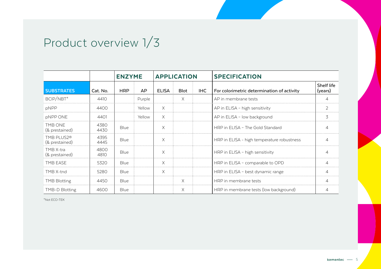# Product overview 1/3

|                                          |              | <b>ENZYME</b> |        | <b>APPLICATION</b> |             |      | <b>SPECIFICATION</b>                       |                       |
|------------------------------------------|--------------|---------------|--------|--------------------|-------------|------|--------------------------------------------|-----------------------|
| <b>SUBSTRATES</b>                        | Cat. No.     | <b>HRP</b>    | AP     | <b>ELISA</b>       | <b>Blot</b> | IHC. | For colorimetric determination of activity | Shelf life<br>(years) |
| BCIP/NBT*                                | 4410         |               | Purple |                    | X           |      | AP in membrane tests                       |                       |
| pNPP                                     | 4400         |               | Yellow | X                  |             |      | AP in ELISA - high sensitivity             | $\mathcal{P}$         |
| pNPP ONE                                 | 4401         |               | Yellow | X                  |             |      | AP in ELISA - low background               | 3                     |
| TMB ONE<br>(& prestained)                | 4380<br>4430 | Blue          |        | X                  |             |      | HRP in ELISA - The Gold Standard           |                       |
| TMB PLUS2 <sup>®</sup><br>(& prestained) | 4395<br>4445 | <b>Blue</b>   |        | X                  |             |      | HRP in ELISA - high temperature robustness |                       |
| TMB X-tra<br>(& prestained)              | 4800<br>4810 | <b>Blue</b>   |        | X                  |             |      | HRP in ELISA - high sensitivity            |                       |
| TMB EASE                                 | 5320         | <b>Blue</b>   |        | X                  |             |      | HRP in ELISA - comparable to OPD           | $\Delta$              |
| TMB X-tnd                                | 5280         | Blue          |        | X                  |             |      | HRP in ELISA - best dynamic range          |                       |
| <b>TMB Blotting</b>                      | 4450         | Blue          |        |                    | Χ           |      | HRP in membrane tests                      |                       |
| TMB-D Blotting                           | 4600         | Blue          |        |                    | X           |      | HRP in membrane tests (low background)     |                       |

\*Not ECO-TEK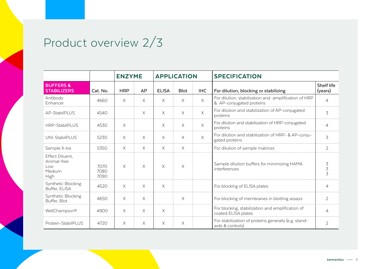### Product overview 2/3

|                                                         |                      | <b>ENZYME</b> |           | <b>APPLICATION</b> |             |            | <b>SPECIFICATION</b>                                                             |                               |
|---------------------------------------------------------|----------------------|---------------|-----------|--------------------|-------------|------------|----------------------------------------------------------------------------------|-------------------------------|
| <b>BUFFERS &amp;</b><br><b>STABILIZERS</b>              | Cat. No.             | <b>HRP</b>    | <b>AP</b> | <b>ELISA</b>       | <b>Blot</b> | <b>IHC</b> | For dilution, blocking or stabilizing                                            | Shelf life<br>(years)         |
| Antibody<br>Enhancer                                    | 4660                 | $\times$      | $\times$  | $\times$           | $\times$    | $\times$   | For dilution, stabilization and amplification of HRP<br>& AP-conjugated proteins | $\overline{4}$                |
| AP-StabilPLUS                                           | 4540                 |               | $\times$  | $\times$           | $\times$    | $\times$   | For dilution and stabilization of AP-conjugated<br>proteins                      | 3                             |
| <b>HRP-StabilPLUS</b>                                   | 4530                 | $\times$      |           | X                  | $\times$    | $\times$   | For dilution and stabilization of HRP-conjugated<br>proteins                     | $\overline{\mathcal{L}}$      |
| UNI-StabilPLUS                                          | 5230                 | $\times$      | $\times$  | X                  | X           | $\times$   | For dilution and stabilization of HRP- & AP-conju-<br>gated proteins             | $\overline{3}$                |
| Sample X-tra                                            | 5350                 | X             | X.        | X                  | X           |            | For dilution of sample matrices                                                  | $\overline{2}$                |
| Effect Diluent,<br>Animal-free<br>Low<br>Medium<br>High | 7070<br>7080<br>7090 | $\times$      | $\times$  | $\times$           | $\times$    |            | Sample dilution buffers for minimizing HAMA<br>interferences                     | 3<br>$\overline{\mathcal{L}}$ |
| Synthetic Blocking<br>Buffer, ELISA                     | 4520                 | $\times$      | X         | $\times$           |             |            | For blocking of ELISA plates                                                     | 4                             |
| Synthetic Blocking<br>Buffer, Blot                      | 4650                 | $\times$      | X         |                    | X           |            | For blocking of membranes in blotting assays                                     | $\overline{2}$                |
| WellChampion®                                           | 4900                 | $\times$      | X         | X                  |             |            | For blocking, stabilization and amplification of<br>coated ELISA plates          | $\overline{4}$                |
| Protein-StabilPLUS                                      | 4720                 | $\times$      | X         | X                  | $\times$    |            | For stabilization of proteins generally (e.g. stand-<br>ards & controls)         | $\overline{2}$                |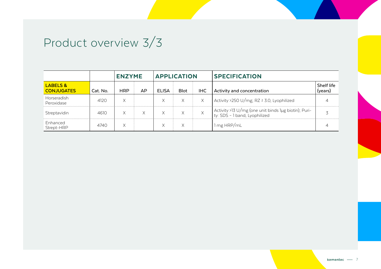## Product overview 3/3

|                                          |          | <b>ENZYME</b> |     | <b>APPLICATION</b> |             |            | <b>SPECIFICATION</b>                                                                  |                       |
|------------------------------------------|----------|---------------|-----|--------------------|-------------|------------|---------------------------------------------------------------------------------------|-----------------------|
| <b>LABELS &amp;</b><br><b>CONJUGATES</b> | Cat. No. | <b>HRP</b>    | AP. | <b>ELISA</b>       | <b>Blot</b> | <b>IHC</b> | Activity and concentration                                                            | Shelf life<br>(years) |
| Horseradish<br>Peroxidase                | 4120     | Х             |     | X                  | X           | X          | Activity >250 U/mg; RZ ≥ 3.0, Lyophilized                                             |                       |
| Streptavidin                             | 4610     |               | X   | X                  |             | X          | Activity >13 U/mg (one unit binds 1µg biotin); Puri-<br>ty: SDS - 1 band, Lyophilized |                       |
| Enhanced<br>Strept-HRP                   | 4740     | X             |     | X                  | X           |            | 1 mg HRP/mL                                                                           |                       |